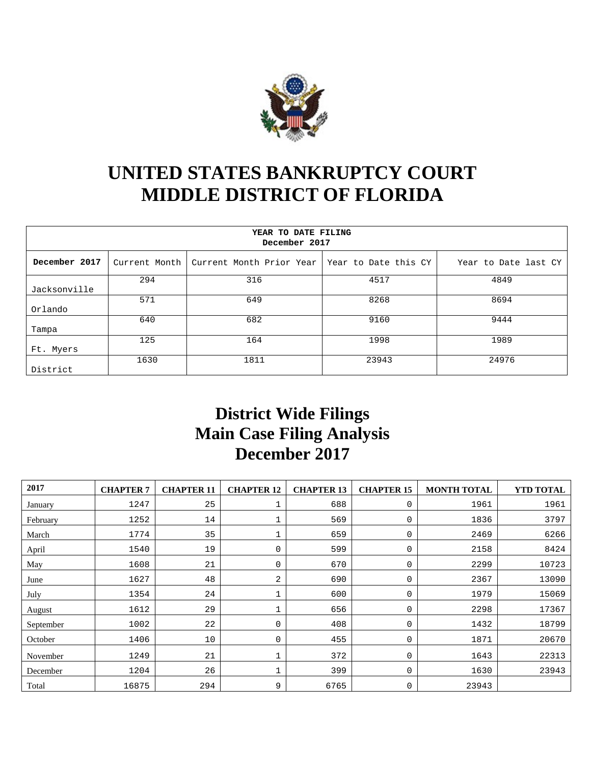

## **UNITED STATES BANKRUPTCY COURT MIDDLE DISTRICT OF FLORIDA**

| YEAR TO DATE FILING<br>December 2017 |               |                                                 |       |                      |  |  |  |  |  |  |  |
|--------------------------------------|---------------|-------------------------------------------------|-------|----------------------|--|--|--|--|--|--|--|
| December 2017                        | Current Month | Current Month Prior Year   Year to Date this CY |       | Year to Date last CY |  |  |  |  |  |  |  |
| Jacksonville                         | 294           | 316                                             | 4517  | 4849                 |  |  |  |  |  |  |  |
| Orlando                              | 571           | 649                                             | 8268  | 8694                 |  |  |  |  |  |  |  |
| Tampa                                | 640           | 682                                             | 9160  | 9444                 |  |  |  |  |  |  |  |
| Ft. Myers                            | 125           | 164                                             | 1998  | 1989                 |  |  |  |  |  |  |  |
| District                             | 1630          | 1811                                            | 23943 | 24976                |  |  |  |  |  |  |  |

## **District Wide Filings Main Case Filing Analysis December 2017**

| 2017      | <b>CHAPTER 7</b> | <b>CHAPTER 11</b> | <b>CHAPTER 12</b> | <b>CHAPTER 13</b> | <b>CHAPTER 15</b> | <b>MONTH TOTAL</b> | YTD TOTAL |
|-----------|------------------|-------------------|-------------------|-------------------|-------------------|--------------------|-----------|
| January   | 1247             | 25                |                   | 688               | 0                 | 1961               | 1961      |
| February  | 1252             | 14                |                   | 569               | 0                 | 1836               | 3797      |
| March     | 1774             | 35                |                   | 659               | 0                 | 2469               | 6266      |
| April     | 1540             | 19                | 0                 | 599               | 0                 | 2158               | 8424      |
| May       | 1608             | 21                | 0                 | 670               | 0                 | 2299               | 10723     |
| June      | 1627             | 48                | 2                 | 690               | 0                 | 2367               | 13090     |
| July      | 1354             | 24                |                   | 600               | 0                 | 1979               | 15069     |
| August    | 1612             | 29                |                   | 656               | 0                 | 2298               | 17367     |
| September | 1002             | 22                | 0                 | 408               | 0                 | 1432               | 18799     |
| October   | 1406             | 10                | 0                 | 455               | 0                 | 1871               | 20670     |
| November  | 1249             | 21                |                   | 372               | 0                 | 1643               | 22313     |
| December  | 1204             | 26                |                   | 399               | 0                 | 1630               | 23943     |
| Total     | 16875            | 294               | 9                 | 6765              | 0                 | 23943              |           |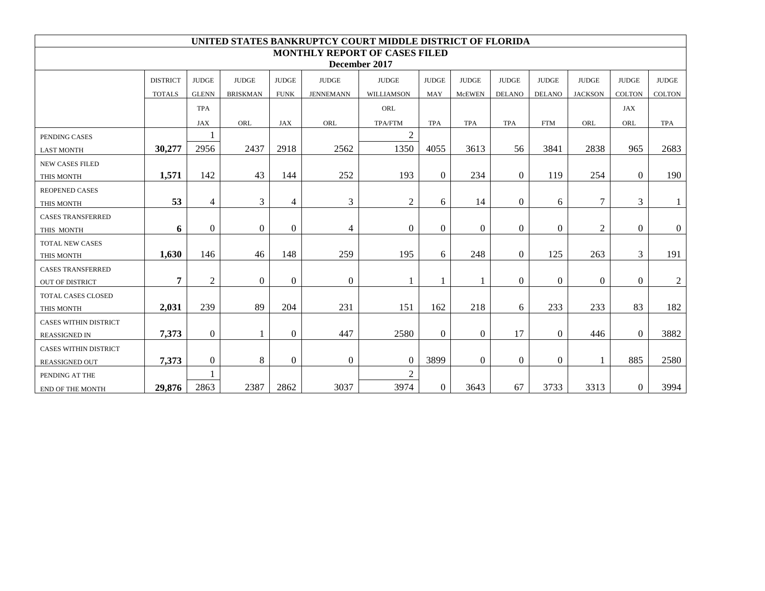| UNITED STATES BANKRUPTCY COURT MIDDLE DISTRICT OF FLORIDA |                 |                  |                 |                |                  |                |              |                |                |                |                |                |                |
|-----------------------------------------------------------|-----------------|------------------|-----------------|----------------|------------------|----------------|--------------|----------------|----------------|----------------|----------------|----------------|----------------|
| <b>MONTHLY REPORT OF CASES FILED</b>                      |                 |                  |                 |                |                  |                |              |                |                |                |                |                |                |
| December 2017                                             |                 |                  |                 |                |                  |                |              |                |                |                |                |                |                |
|                                                           | <b>DISTRICT</b> | <b>JUDGE</b>     | <b>JUDGE</b>    | <b>JUDGE</b>   | <b>JUDGE</b>     | <b>JUDGE</b>   | <b>JUDGE</b> | <b>JUDGE</b>   | <b>JUDGE</b>   | <b>JUDGE</b>   | <b>JUDGE</b>   | <b>JUDGE</b>   | <b>JUDGE</b>   |
|                                                           | <b>TOTALS</b>   | <b>GLENN</b>     | <b>BRISKMAN</b> | <b>FUNK</b>    | <b>JENNEMANN</b> | WILLIAMSON     | MAY          | <b>McEWEN</b>  | <b>DELANO</b>  | <b>DELANO</b>  | <b>JACKSON</b> | <b>COLTON</b>  | <b>COLTON</b>  |
|                                                           |                 | <b>TPA</b>       |                 |                |                  | ORL            |              |                |                |                |                | <b>JAX</b>     |                |
|                                                           |                 | <b>JAX</b>       | ORL             | <b>JAX</b>     | ORL              | TPA/FTM        | <b>TPA</b>   | <b>TPA</b>     | <b>TPA</b>     | <b>FTM</b>     | ORL            | ORL            | <b>TPA</b>     |
| PENDING CASES                                             |                 |                  |                 |                |                  | $\overline{2}$ |              |                |                |                |                |                |                |
| <b>LAST MONTH</b>                                         | 30,277          | 2956             | 2437            | 2918           | 2562             | 1350           | 4055         | 3613           | 56             | 3841           | 2838           | 965            | 2683           |
| <b>NEW CASES FILED</b>                                    |                 |                  |                 |                |                  |                |              |                |                |                |                |                |                |
| THIS MONTH                                                | 1,571           | 142              | 43              | 144            | 252              | 193            | $\Omega$     | 234            | $\theta$       | 119            | 254            | $\Omega$       | 190            |
| <b>REOPENED CASES</b>                                     |                 |                  |                 |                |                  |                |              |                |                |                |                |                |                |
| THIS MONTH                                                | 53              | $\overline{4}$   | 3               | $\overline{4}$ | 3                | $\overline{2}$ | 6            | 14             | $\theta$       | 6              | 7              | 3              |                |
| <b>CASES TRANSFERRED</b>                                  |                 |                  |                 |                |                  |                |              |                |                |                |                |                |                |
| THIS MONTH                                                | 6               | $\boldsymbol{0}$ | $\Omega$        | $\overline{0}$ | $\overline{4}$   | $\Omega$       | $\Omega$     | $\overline{0}$ | $\theta$       | $\overline{0}$ | $\overline{2}$ | $\mathbf{0}$   | $\overline{0}$ |
| TOTAL NEW CASES                                           |                 |                  |                 |                |                  |                |              |                |                |                |                |                |                |
| THIS MONTH                                                | 1,630           | 146              | 46              | 148            | 259              | 195            | 6            | 248            | $\theta$       | 125            | 263            | 3              | 191            |
| <b>CASES TRANSFERRED</b>                                  |                 |                  |                 |                |                  |                |              |                |                |                |                |                |                |
| <b>OUT OF DISTRICT</b>                                    | $\overline{7}$  | 2                | $\overline{0}$  | $\mathbf{0}$   | $\boldsymbol{0}$ |                |              | 1              | $\overline{0}$ | $\overline{0}$ | $\mathbf{0}$   | $\overline{0}$ | 2              |
| <b>TOTAL CASES CLOSED</b>                                 |                 |                  |                 |                |                  |                |              |                |                |                |                |                |                |
| THIS MONTH                                                | 2,031           | 239              | 89              | 204            | 231              | 151            | 162          | 218            | 6              | 233            | 233            | 83             | 182            |
| <b>CASES WITHIN DISTRICT</b>                              |                 |                  |                 |                |                  |                |              |                |                |                |                |                |                |
| <b>REASSIGNED IN</b>                                      | 7,373           | $\overline{0}$   |                 | $\overline{0}$ | 447              | 2580           | $\theta$     | $\overline{0}$ | 17             | $\overline{0}$ | 446            | $\Omega$       | 3882           |
| <b>CASES WITHIN DISTRICT</b>                              |                 |                  |                 |                |                  |                |              |                |                |                |                |                |                |
| REASSIGNED OUT                                            | 7,373           | $\overline{0}$   | 8               | $\overline{0}$ | $\overline{0}$   | $\overline{0}$ | 3899         | $\Omega$       | $\theta$       | $\overline{0}$ |                | 885            | 2580           |
| PENDING AT THE                                            |                 |                  |                 |                |                  | $\overline{2}$ |              |                |                |                |                |                |                |
| END OF THE MONTH                                          | 29,876          | 2863             | 2387            | 2862           | 3037             | 3974           | $\theta$     | 3643           | 67             | 3733           | 3313           | $\Omega$       | 3994           |